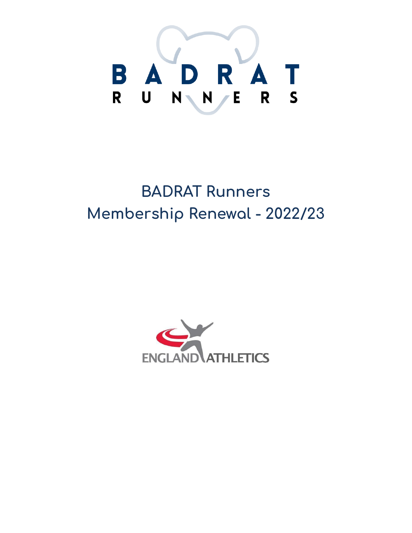

# **BADRAT Runners Membership Renewal - 2022/23**

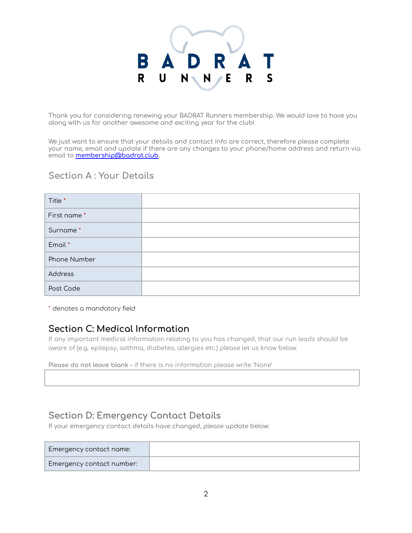# B  $\mathsf{R}$

Thank you for considering renewing your BADRAT Runners membership. We would love to have you along with us for another awesome and exciting year for the club!

We just want to ensure that your details and contact info are correct, therefore please complete your name, email and update if there are any changes to your phone/home address and return via email to **membership@badrat.club**.

#### **Section A : Your Details**

| Title *      |  |
|--------------|--|
| First name*  |  |
| Surname*     |  |
| Email *      |  |
| Phone Number |  |
| Address      |  |
| Post Code    |  |

\* denotes a mandatory field

### **Section C: Medical Information**

If any important medical information relating to you has changed, that our run leads should be aware of (e.g. epilepsy, asthma, diabetes, allergies etc.) please let us know below.

**Please do not leave blank** – if there is no information please write 'None'

## **Section D: Emergency Contact Details**

If your emergency contact details have changed, please update below:

| Emergency contact name:          |  |
|----------------------------------|--|
| <b>Emergency contact number:</b> |  |